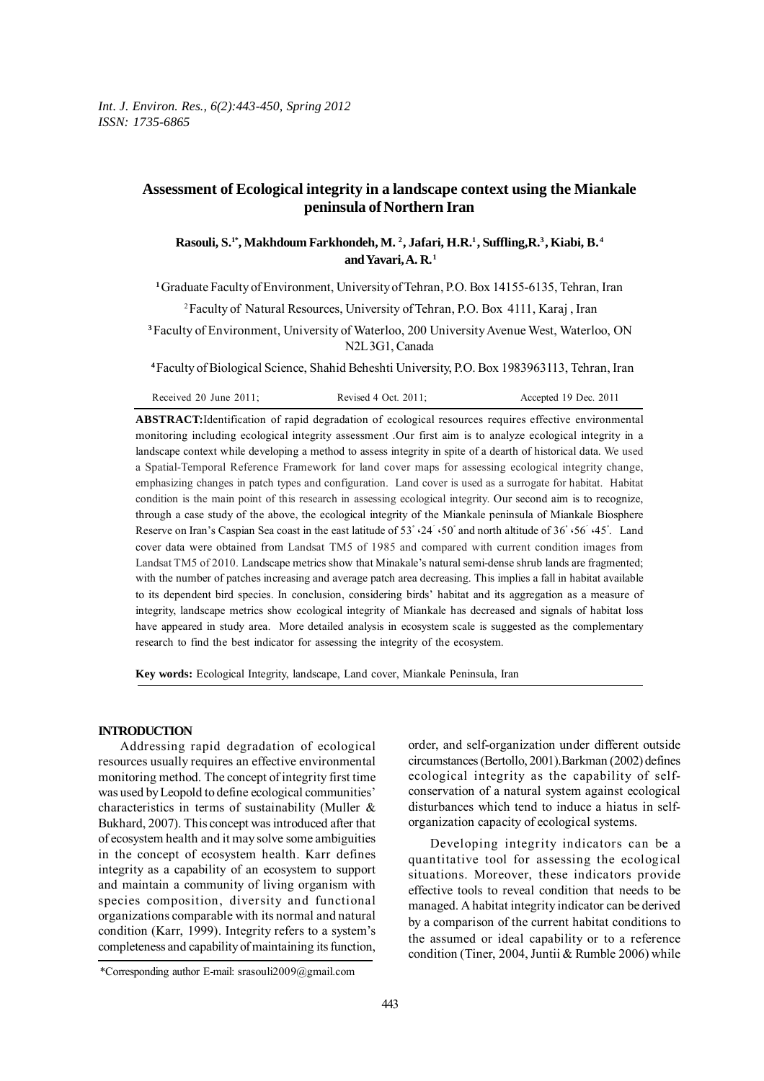# **Assessment of Ecological integrity in a landscape context using the Miankale peninsula of Northern Iran**

**Rasouli, S.1\*, Makhdoum Farkhondeh, M. 2 , Jafari, H.R.1 , Suffling,R.3 , Kiabi, B. 4 and Yavari, A. R. 1**

**<sup>1</sup>**Graduate Faculty of Environment, University of Tehran, P.O. Box 14155-6135, Tehran, Iran

2 Faculty of Natural Resources, University of Tehran, P.O. Box 4111, Karaj , Iran

**<sup>3</sup>**Faculty of Environment, University of Waterloo, 200 University Avenue West, Waterloo, ON N2L 3G1, Canada

 **4** Faculty of Biological Science, Shahid Beheshti University, P.O. Box 1983963113, Tehran, Iran

| Received 20 June $2011$ ;<br>Revised 4 Oct. $2011$ ; | Accepted 19 Dec. 2011 |
|------------------------------------------------------|-----------------------|
|------------------------------------------------------|-----------------------|

**ABSTRACT:**Identification of rapid degradation of ecological resources requires effective environmental monitoring including ecological integrity assessment .Our first aim is to analyze ecological integrity in a landscape context while developing a method to assess integrity in spite of a dearth of historical data. We used a Spatial-Temporal Reference Framework for land cover maps for assessing ecological integrity change, emphasizing changes in patch types and configuration. Land cover is used as a surrogate for habitat. Habitat condition is the main point of this research in assessing ecological integrity. Our second aim is to recognize, through a case study of the above, the ecological integrity of the Miankale peninsula of Miankale Biosphere Reserve on Iran's Caspian Sea coast in the east latitude of  $53' \cdot 24' \cdot 50'$  and north altitude of  $36' \cdot 56' \cdot 45'$ . Land cover data were obtained from Landsat TM5 of 1985 and compared with current condition images from Landsat TM5 of 2010. Landscape metrics show that Minakale's natural semi-dense shrub lands are fragmented; with the number of patches increasing and average patch area decreasing. This implies a fall in habitat available to its dependent bird species. In conclusion, considering birds' habitat and its aggregation as a measure of integrity, landscape metrics show ecological integrity of Miankale has decreased and signals of habitat loss have appeared in study area. More detailed analysis in ecosystem scale is suggested as the complementary research to find the best indicator for assessing the integrity of the ecosystem.

**Key words:** Ecological Integrity, landscape, Land cover, Miankale Peninsula, Iran

#### **INTRODUCTION**

Addressing rapid degradation of ecological resources usually requires an effective environmental monitoring method. The concept of integrity first time was used by Leopold to define ecological communities' characteristics in terms of sustainability (Muller & Bukhard, 2007). This concept was introduced after that of ecosystem health and it may solve some ambiguities in the concept of ecosystem health. Karr defines integrity as a capability of an ecosystem to support and maintain a community of living organism with species composition, diversity and functional organizations comparable with its normal and natural condition (Karr, 1999). Integrity refers to a system's completeness and capability of maintaining its function, order, and self-organization under different outside circumstances (Bertollo, 2001).Barkman (2002) defines ecological integrity as the capability of selfconservation of a natural system against ecological disturbances which tend to induce a hiatus in selforganization capacity of ecological systems.

Developing integrity indicators can be a quantitative tool for assessing the ecological situations. Moreover, these indicators provide effective tools to reveal condition that needs to be managed. A habitat integrity indicator can be derived by a comparison of the current habitat conditions to the assumed or ideal capability or to a reference condition (Tiner, 2004, Juntii & Rumble 2006) while

<sup>\*</sup>Corresponding author E-mail: srasouli2009@gmail.com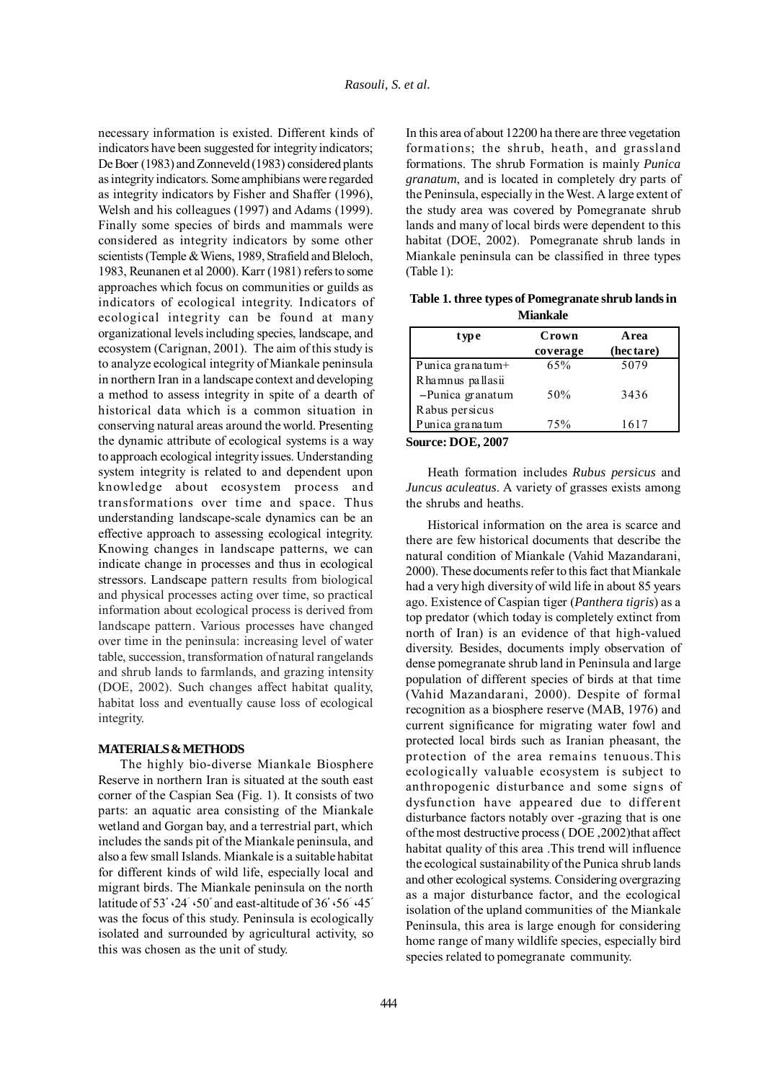necessary information is existed. Different kinds of indicators have been suggested for integrity indicators; De Boer (1983) and Zonneveld (1983) considered plants as integrity indicators. Some amphibians were regarded as integrity indicators by Fisher and Shaffer (1996), Welsh and his colleagues (1997) and Adams (1999). Finally some species of birds and mammals were considered as integrity indicators by some other scientists (Temple & Wiens, 1989, Strafield and Bleloch, 1983, Reunanen et al 2000). Karr (1981) refers to some approaches which focus on communities or guilds as indicators of ecological integrity. Indicators of ecological integrity can be found at many organizational levels including species, landscape, and ecosystem (Carignan, 2001). The aim of this study is to analyze ecological integrity of Miankale peninsula in northern Iran in a landscape context and developing a method to assess integrity in spite of a dearth of historical data which is a common situation in conserving natural areas around the world. Presenting the dynamic attribute of ecological systems is a way to approach ecological integrity issues. Understanding system integrity is related to and dependent upon knowledge about ecosystem process and transformations over time and space. Thus understanding landscape-scale dynamics can be an effective approach to assessing ecological integrity. Knowing changes in landscape patterns, we can indicate change in processes and thus in ecological stressors. Landscape pattern results from biological and physical processes acting over time, so practical information about ecological process is derived from landscape pattern. Various processes have changed over time in the peninsula: increasing level of water table, succession, transformation of natural rangelands and shrub lands to farmlands, and grazing intensity (DOE, 2002). Such changes affect habitat quality, habitat loss and eventually cause loss of ecological integrity.

#### **MATERIALS & METHODS**

The highly bio-diverse Miankale Biosphere Reserve in northern Iran is situated at the south east corner of the Caspian Sea (Fig. 1). It consists of two parts: an aquatic area consisting of the Miankale wetland and Gorgan bay, and a terrestrial part, which includes the sands pit of the Miankale peninsula, and also a few small Islands. Miankale is a suitable habitat for different kinds of wild life, especially local and migrant birds. The Miankale peninsula on the north latitude of  $53\degree 24\degree 50\degree$  and east-altitude of  $36\degree 56\degree 45\degree$ was the focus of this study. Peninsula is ecologically isolated and surrounded by agricultural activity, so this was chosen as the unit of study.

In this area of about 12200 ha there are three vegetation formations; the shrub, heath, and grassland formations. The shrub Formation is mainly *Punica granatum*, and is located in completely dry parts of the Peninsula, especially in the West. A large extent of the study area was covered by Pomegranate shrub lands and many of local birds were dependent to this habitat (DOE, 2002). Pomegranate shrub lands in Miankale peninsula can be classified in three types (Table 1):

| Table 1. three types of Pomegranate shrub lands in |
|----------------------------------------------------|
| <b>Miankale</b>                                    |

| t yp e           | Crown<br>coverage | A rea<br>(hectare) |
|------------------|-------------------|--------------------|
| Punica granatum+ | 65%               | 5079               |
| Rhamnus pallasii |                   |                    |
| -Punica granatum | 50%               | 3436               |
| Rabus per sicus  |                   |                    |
| Punica granatum  | 75%               | 1617               |

**Source: DOE, 2007**

Heath formation includes *Rubus persicus* and *Juncus aculeatus*. A variety of grasses exists among the shrubs and heaths.

Historical information on the area is scarce and there are few historical documents that describe the natural condition of Miankale (Vahid Mazandarani, 2000). These documents refer to this fact that Miankale had a very high diversity of wild life in about 85 years ago. Existence of Caspian tiger (*Panthera tigris*) as a top predator (which today is completely extinct from north of Iran) is an evidence of that high-valued diversity. Besides, documents imply observation of dense pomegranate shrub land in Peninsula and large population of different species of birds at that time (Vahid Mazandarani, 2000). Despite of formal recognition as a biosphere reserve (MAB, 1976) and current significance for migrating water fowl and protected local birds such as Iranian pheasant, the protection of the area remains tenuous.This ecologically valuable ecosystem is subject to anthropogenic disturbance and some signs of dysfunction have appeared due to different disturbance factors notably over -grazing that is one of the most destructive process ( DOE ,2002)that affect habitat quality of this area .This trend will influence the ecological sustainability of the Punica shrub lands and other ecological systems. Considering overgrazing as a major disturbance factor, and the ecological isolation of the upland communities of the Miankale Peninsula, this area is large enough for considering home range of many wildlife species, especially bird species related to pomegranate community.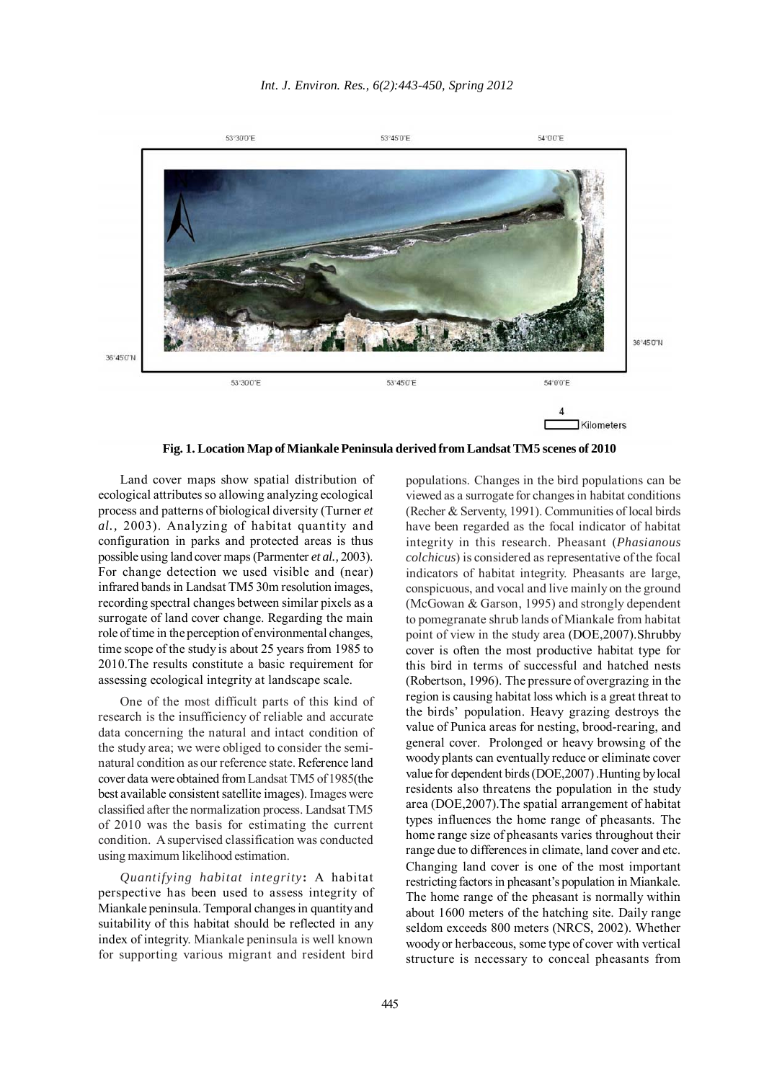

**Fig. 1. Location Map of Miankale Peninsula derived from Landsat TM5 scenes of 2010**

Land cover maps show spatial distribution of ecological attributes so allowing analyzing ecological process and patterns of biological diversity (Turner *et al.,* 2003). Analyzing of habitat quantity and configuration in parks and protected areas is thus possible using land cover maps (Parmenter *et al.,* 2003). For change detection we used visible and (near) infrared bands in Landsat TM5 30m resolution images, recording spectral changes between similar pixels as a surrogate of land cover change. Regarding the main role of time in the perception of environmental changes, time scope of the study is about 25 years from 1985 to 2010.The results constitute a basic requirement for assessing ecological integrity at landscape scale.

One of the most difficult parts of this kind of research is the insufficiency of reliable and accurate data concerning the natural and intact condition of the study area; we were obliged to consider the seminatural condition as our reference state. Reference land cover data were obtained from Landsat TM5 of 1985(the best available consistent satellite images). Images were classified after the normalization process. Landsat TM5 of 2010 was the basis for estimating the current condition. A supervised classification was conducted using maximum likelihood estimation.

*Quantifying habitat integrity***:** A habitat perspective has been used to assess integrity of Miankale peninsula. Temporal changes in quantity and suitability of this habitat should be reflected in any index of integrity. Miankale peninsula is well known for supporting various migrant and resident bird

populations. Changes in the bird populations can be viewed as a surrogate for changes in habitat conditions (Recher & Serventy, 1991). Communities of local birds have been regarded as the focal indicator of habitat integrity in this research. Pheasant (*Phasianous colchicus*) is considered as representative of the focal indicators of habitat integrity. Pheasants are large, conspicuous, and vocal and live mainly on the ground (McGowan & Garson, 1995) and strongly dependent to pomegranate shrub lands of Miankale from habitat point of view in the study area (DOE,2007).Shrubby cover is often the most productive habitat type for this bird in terms of successful and hatched nests (Robertson, 1996). The pressure of overgrazing in the region is causing habitat loss which is a great threat to the birds' population. Heavy grazing destroys the value of Punica areas for nesting, brood-rearing, and general cover. Prolonged or heavy browsing of the woody plants can eventually reduce or eliminate cover value for dependent birds (DOE,2007) .Hunting by local residents also threatens the population in the study area (DOE,2007).The spatial arrangement of habitat types influences the home range of pheasants. The home range size of pheasants varies throughout their range due to differences in climate, land cover and etc. Changing land cover is one of the most important restricting factors in pheasant's population in Miankale. The home range of the pheasant is normally within about 1600 meters of the hatching site. Daily range seldom exceeds 800 meters (NRCS, 2002). Whether woody or herbaceous, some type of cover with vertical structure is necessary to conceal pheasants from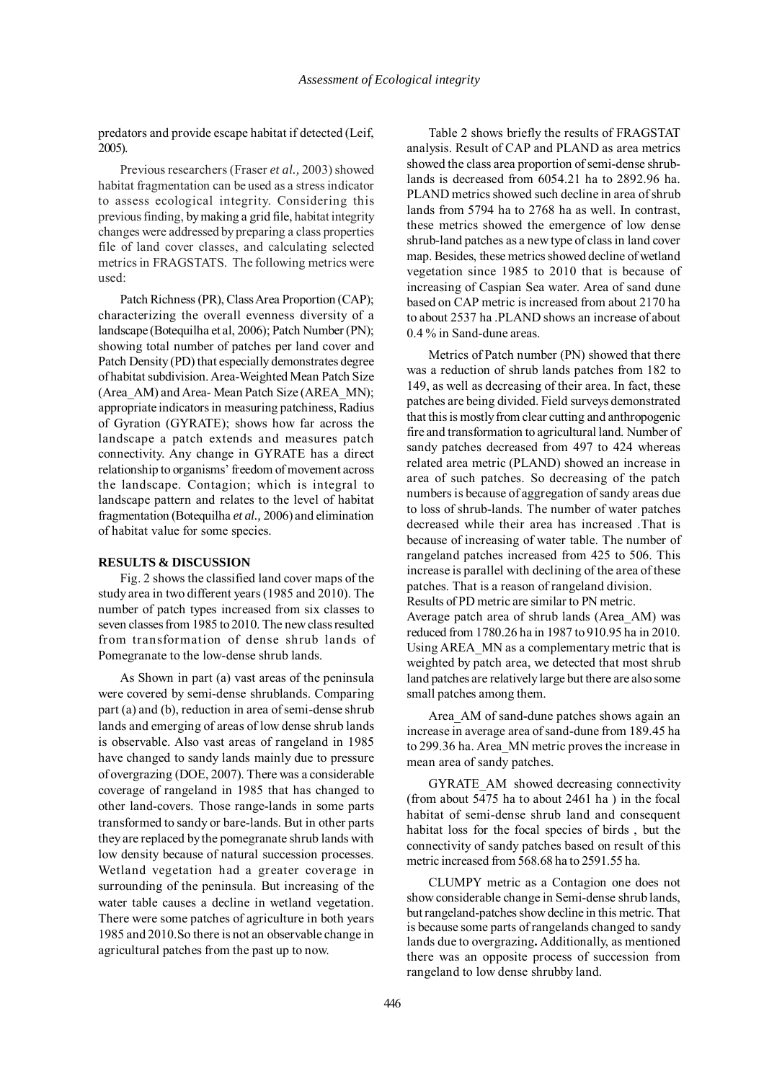predators and provide escape habitat if detected (Leif, 2005).

Previous researchers (Fraser *et al.,* 2003) showed habitat fragmentation can be used as a stress indicator to assess ecological integrity. Considering this previous finding, by making a grid file, habitat integrity changes were addressed by preparing a class properties file of land cover classes, and calculating selected metrics in FRAGSTATS. The following metrics were used:

Patch Richness (PR), Class Area Proportion (CAP); characterizing the overall evenness diversity of a landscape (Botequilha et al, 2006); Patch Number (PN); showing total number of patches per land cover and Patch Density (PD) that especially demonstrates degree of habitat subdivision. Area-Weighted Mean Patch Size (Area\_AM) and Area- Mean Patch Size (AREA\_MN); appropriate indicators in measuring patchiness, Radius of Gyration (GYRATE); shows how far across the landscape a patch extends and measures patch connectivity. Any change in GYRATE has a direct relationship to organisms' freedom of movement across the landscape. Contagion; which is integral to landscape pattern and relates to the level of habitat fragmentation (Botequilha *et al.,* 2006) and elimination of habitat value for some species.

### **RESULTS & DISCUSSION**

Fig. 2 shows the classified land cover maps of the study area in two different years (1985 and 2010). The number of patch types increased from six classes to seven classes from 1985 to 2010. The new class resulted from transformation of dense shrub lands of Pomegranate to the low-dense shrub lands.

As Shown in part (a) vast areas of the peninsula were covered by semi-dense shrublands. Comparing part (a) and (b), reduction in area of semi-dense shrub lands and emerging of areas of low dense shrub lands is observable. Also vast areas of rangeland in 1985 have changed to sandy lands mainly due to pressure of overgrazing (DOE, 2007). There was a considerable coverage of rangeland in 1985 that has changed to other land-covers. Those range-lands in some parts transformed to sandy or bare-lands. But in other parts they are replaced by the pomegranate shrub lands with low density because of natural succession processes. Wetland vegetation had a greater coverage in surrounding of the peninsula. But increasing of the water table causes a decline in wetland vegetation. There were some patches of agriculture in both years 1985 and 2010.So there is not an observable change in agricultural patches from the past up to now.

Table 2 shows briefly the results of FRAGSTAT analysis. Result of CAP and PLAND as area metrics showed the class area proportion of semi-dense shrublands is decreased from 6054.21 ha to 2892.96 ha. PLAND metrics showed such decline in area of shrub lands from 5794 ha to 2768 ha as well. In contrast these metrics showed the emergence of low dense shrub-land patches as a new type of class in land cover map. Besides, these metrics showed decline of wetland vegetation since 1985 to 2010 that is because of increasing of Caspian Sea water. Area of sand dune based on CAP metric is increased from about 2170 ha to about 2537 ha .PLAND shows an increase of about 0.4 % in Sand-dune areas.

Metrics of Patch number (PN) showed that there was a reduction of shrub lands patches from 182 to 149, as well as decreasing of their area. In fact, these patches are being divided. Field surveys demonstrated that this is mostly from clear cutting and anthropogenic fire and transformation to agricultural land. Number of sandy patches decreased from 497 to 424 whereas related area metric (PLAND) showed an increase in area of such patches. So decreasing of the patch numbers is because of aggregation of sandy areas due to loss of shrub-lands. The number of water patches decreased while their area has increased .That is because of increasing of water table. The number of rangeland patches increased from 425 to 506. This increase is parallel with declining of the area of these patches. That is a reason of rangeland division. Results of PD metric are similar to PN metric. Average patch area of shrub lands (Area\_AM) was reduced from 1780.26 ha in 1987 to 910.95 ha in 2010. Using AREA\_MN as a complementary metric that is weighted by patch area, we detected that most shrub land patches are relatively large but there are also some

Area AM of sand-dune patches shows again an increase in average area of sand-dune from 189.45 ha to 299.36 ha. Area\_MN metric proves the increase in mean area of sandy patches.

small patches among them.

GYRATE\_AM showed decreasing connectivity (from about 5475 ha to about 2461 ha ) in the focal habitat of semi-dense shrub land and consequent habitat loss for the focal species of birds , but the connectivity of sandy patches based on result of this metric increased from 568.68 ha to 2591.55 ha.

CLUMPY metric as a Contagion one does not show considerable change in Semi-dense shrub lands, but rangeland-patches show decline in this metric. That is because some parts of rangelands changed to sandy lands due to overgrazing**.** Additionally, as mentioned there was an opposite process of succession from rangeland to low dense shrubby land.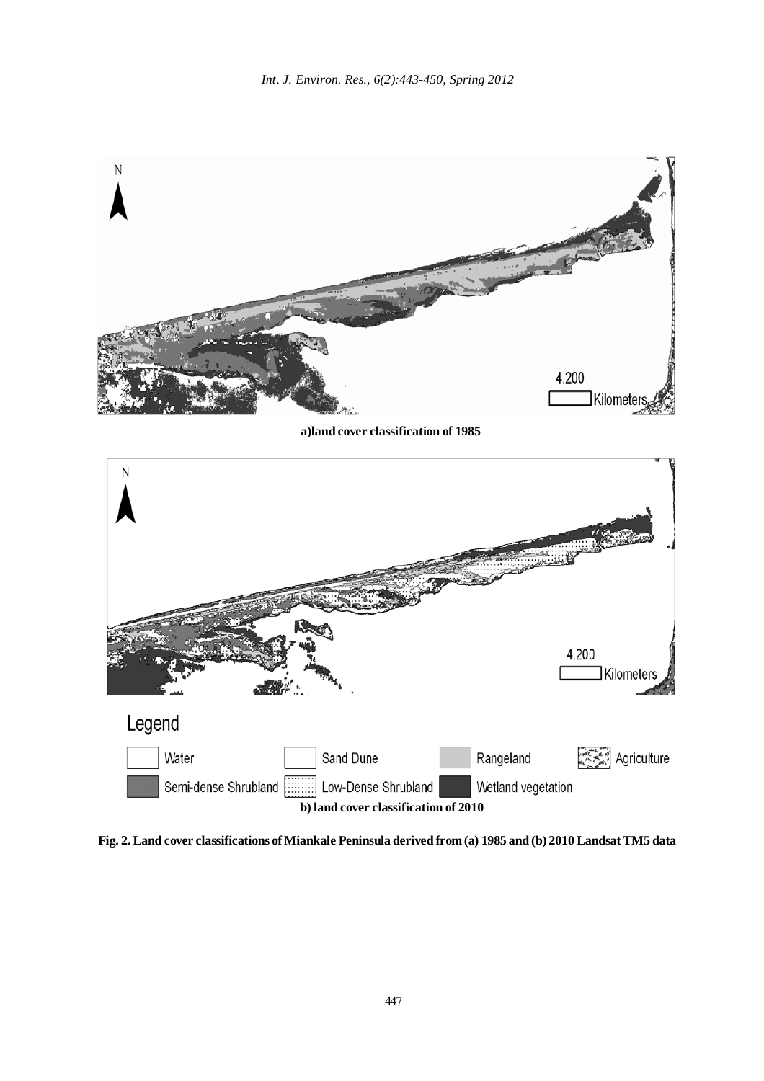

**a)land cover classification of 1985**



**Fig. 2. Land cover classifications of Miankale Peninsula derived from (a) 1985 and (b) 2010 Landsat TM5 data**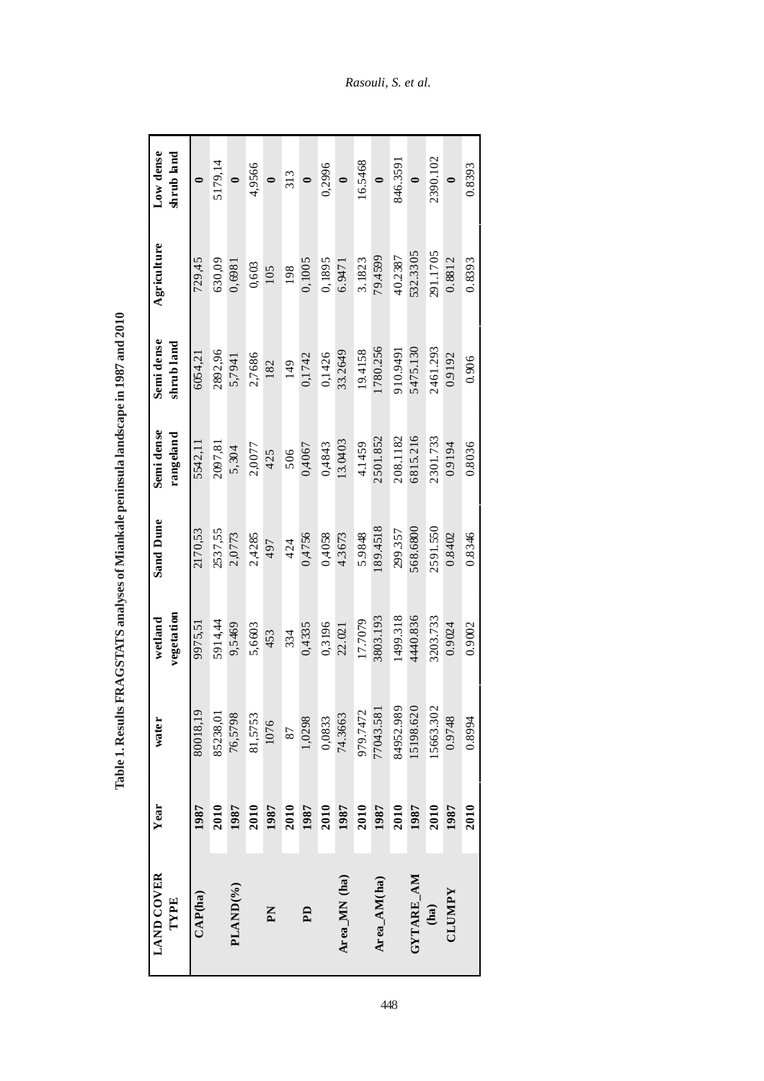| <b>LAND COVER</b><br>TYPE   | Year | water     | vegetation<br>wetland | <b>Sand Dune</b> | Semi dense<br>rangeland | Semi dense<br>shrub land | Agriculture | Low dense<br>shrub land |
|-----------------------------|------|-----------|-----------------------|------------------|-------------------------|--------------------------|-------------|-------------------------|
| $\mathbf{CAP}(\mathbf{ha})$ | 1987 | 80018,1   | 9975,51               | 2170,53          | 5542,1                  | 6054,2                   | 729,45      |                         |
|                             | 2010 | 85238,0   | 5914,44               | 2537,55          | 2097,81                 | 2892,96                  | 630,09      | 5179,14                 |
| PLAND <sup>(%)</sup>        | 1987 | 76,5798   | 9,5469                | 2,0773           | 5,304                   | 5,7941                   | 0,6981      |                         |
|                             | 2010 | 81,5753   | 5,6603                | 2,4285           | 2,0077                  | 2,7686                   | 0,603       | 4,9566                  |
| N                           | 1987 | 1076      | 453                   | 497              | 425                     | 182                      | 105         | $\bullet$               |
|                             | 2010 | 87        | 334                   | 424              | 506                     | 149                      | 198         | 313                     |
| Eq                          | 1987 | 1,0298    | 0,4335                | 0,4756           | 0,4067                  | 0,1742                   | 0,1005      | $\bullet$               |
|                             | 2010 | 0,0833    | 0,3196                | 0,4058           | 0,4843                  | 0,1426                   | 0,1895      | 0,2996                  |
| Area_MN (ha)                | 1987 | 74.3663   | 22.021                | 4.3673           | 13.0403                 | 33.2649                  | 6.9471      | $\bullet$               |
|                             | 2010 | 979.7472  | 17.7079               | 5.9848           | 4.1459                  | 19.4158                  | 3.1823      | 16.5468                 |
| Area_A $M(ha)$              | 1987 | 77043.581 | 3803.193              | 189.4518         | 2501.852                | 1780.256                 | 79.4599     | $\bullet$               |
|                             | 2010 | 84952.989 | 1499.318              | 299.357          | 208.1182                | 910.9491                 | 40.2387     | 846.3591                |
| <b>GYTARE_AM</b>            | 1987 | 15198.620 | 4440.836              | 568.6800         | 6815.216                | 5475.130                 | 532.3305    |                         |
| (ha)                        | 2010 | 15663.302 | 3203.733              | 2591.550         | 2301.733                | 2461.293                 | 291.1705    | 2390.102                |
| <b>CLUMPY</b>               | 1987 | 0.9748    | 0.9024                | 0.8402           | 0.9194                  | 0.9192                   | 0.8812      | $\bullet$               |
|                             | 2010 | 0.8994    | 0.9002                | 0.8346           | 0.8036                  | 0.906                    | 0.8393      | 0.8393                  |
|                             |      |           |                       |                  |                         |                          |             |                         |

Table 1. Results FRAGSTATS analyses of Miankale peninsula landscape in 1987 and 2010 **Table 1. Results FRAGSTATS analyses of Miankale peninsula landscape in 1987 and 2010**

448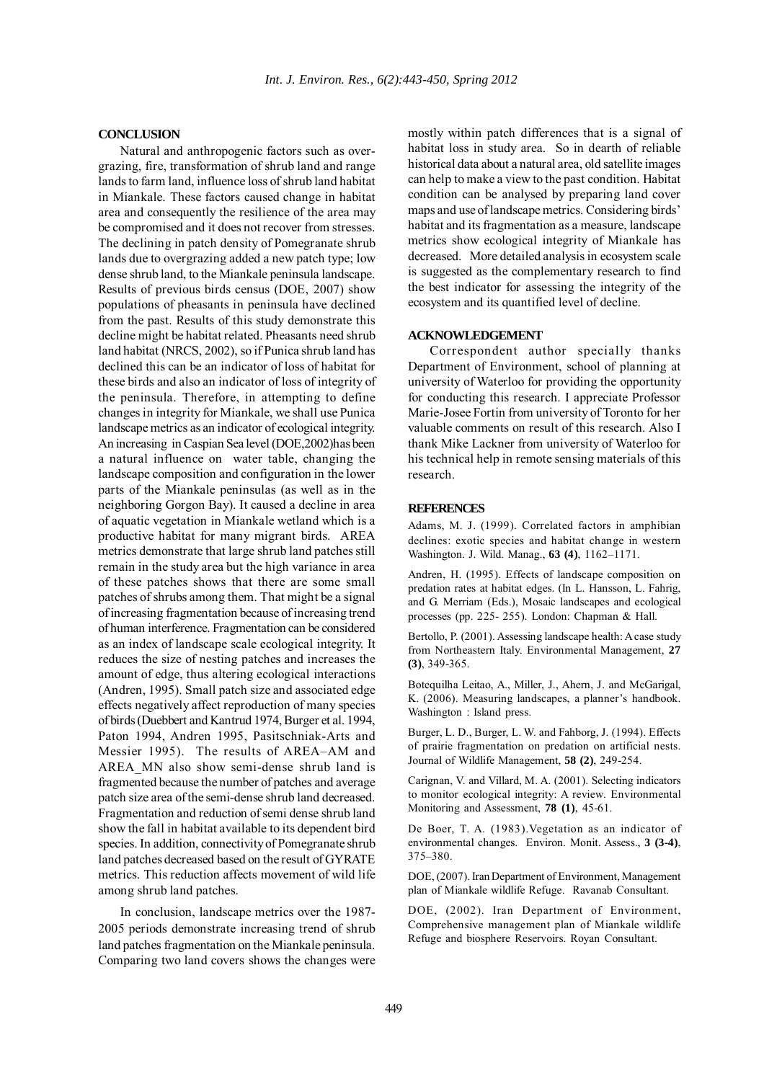## **CONCLUSION**

Natural and anthropogenic factors such as overgrazing, fire, transformation of shrub land and range lands to farm land, influence loss of shrub land habitat in Miankale. These factors caused change in habitat area and consequently the resilience of the area may be compromised and it does not recover from stresses. The declining in patch density of Pomegranate shrub lands due to overgrazing added a new patch type; low dense shrub land, to the Miankale peninsula landscape. Results of previous birds census (DOE, 2007) show populations of pheasants in peninsula have declined from the past. Results of this study demonstrate this decline might be habitat related. Pheasants need shrub land habitat (NRCS, 2002), so if Punica shrub land has declined this can be an indicator of loss of habitat for these birds and also an indicator of loss of integrity of the peninsula. Therefore, in attempting to define changes in integrity for Miankale, we shall use Punica landscape metrics as an indicator of ecological integrity. An increasing in Caspian Sea level (DOE,2002)has been a natural influence on water table, changing the landscape composition and configuration in the lower parts of the Miankale peninsulas (as well as in the neighboring Gorgon Bay). It caused a decline in area of aquatic vegetation in Miankale wetland which is a productive habitat for many migrant birds. AREA metrics demonstrate that large shrub land patches still remain in the study area but the high variance in area of these patches shows that there are some small patches of shrubs among them. That might be a signal of increasing fragmentation because of increasing trend of human interference. Fragmentation can be considered as an index of landscape scale ecological integrity. It reduces the size of nesting patches and increases the amount of edge, thus altering ecological interactions (Andren, 1995). Small patch size and associated edge effects negatively affect reproduction of many species of birds (Duebbert and Kantrud 1974, Burger et al. 1994, Paton 1994, Andren 1995, Pasitschniak-Arts and Messier 1995). The results of AREA–AM and AREA\_MN also show semi-dense shrub land is fragmented because the number of patches and average patch size area of the semi-dense shrub land decreased. Fragmentation and reduction of semi dense shrub land show the fall in habitat available to its dependent bird species. In addition, connectivity of Pomegranate shrub land patches decreased based on the result of GYRATE metrics. This reduction affects movement of wild life among shrub land patches.

In conclusion, landscape metrics over the 1987- 2005 periods demonstrate increasing trend of shrub land patches fragmentation on the Miankale peninsula. Comparing two land covers shows the changes were mostly within patch differences that is a signal of habitat loss in study area. So in dearth of reliable historical data about a natural area, old satellite images can help to make a view to the past condition. Habitat condition can be analysed by preparing land cover maps and use of landscape metrics. Considering birds' habitat and its fragmentation as a measure, landscape metrics show ecological integrity of Miankale has decreased. More detailed analysis in ecosystem scale is suggested as the complementary research to find the best indicator for assessing the integrity of the ecosystem and its quantified level of decline.

### **ACKNOWLEDGEMENT**

Correspondent author specially thanks Department of Environment, school of planning at university of Waterloo for providing the opportunity for conducting this research. I appreciate Professor Marie-Josee Fortin from university of Toronto for her valuable comments on result of this research. Also I thank Mike Lackner from university of Waterloo for his technical help in remote sensing materials of this research.

#### **REFERENCES**

Adams, M. J. (1999). Correlated factors in amphibian declines: exotic species and habitat change in western Washington. J. Wild. Manag., **63 (4)**, 1162–1171.

Andren, H. (1995). Effects of landscape composition on predation rates at habitat edges. (In L. Hansson, L. Fahrig, and G. Merriam (Eds.), Mosaic landscapes and ecological processes (pp. 225- 255). London: Chapman & Hall.

Bertollo, P. (2001). Assessing landscape health: A case study from Northeastern Italy. Environmental Management, **27 (3)**, 349-365.

Botequilha Leitao, A., Miller, J., Ahern, J. and McGarigal, K. (2006). Measuring landscapes, a planner's handbook. Washington : Island press.

Burger, L. D., Burger, L. W. and Fahborg, J. (1994). Effects of prairie fragmentation on predation on artificial nests. Journal of Wildlife Management, **58 (2)**, 249-254.

Carignan, V. and Villard, M. A. (2001). Selecting indicators to monitor ecological integrity: A review. Environmental Monitoring and Assessment, **78 (1)**, 45-61.

De Boer, T. A. (1983).Vegetation as an indicator of environmental changes. Environ. Monit. Assess., **3 (3-4)**, 375–380.

DOE, (2007). Iran Department of Environment, Management plan of Miankale wildlife Refuge. Ravanab Consultant.

DOE, (2002). Iran Department of Environment, Comprehensive management plan of Miankale wildlife Refuge and biosphere Reservoirs. Royan Consultant.